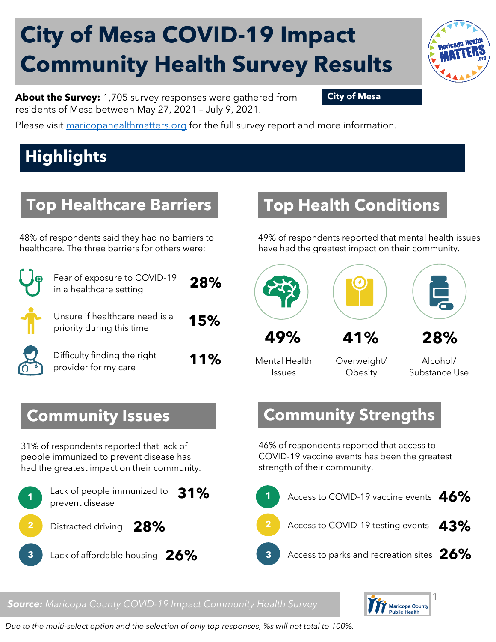# **City of Mesa COVID-19 Impact Community Health Survey Results**



Please visit [maricopahealthmatters.org](https://www.maricopa.gov/5100/Health-Data-Maricopa-Health-Matters) for the full survey report and more information.

## **Highlights**

#### **Top Healthcare Barriers**

48% of respondents said they had no barriers to healthcare. The three barriers for others were:

| Fear of exposure to COVID-19<br>in a healthcare setting     | 28% |
|-------------------------------------------------------------|-----|
| Unsure if healthcare need is a<br>priority during this time | 15% |
| Difficulty finding the right<br>provider for my care        | 11% |

### **Top Health Conditions**

49% of respondents reported that mental health issues have had the greatest impact on their community.



Mental Health

Issues

Overweight/ **Obesity** 

Alcohol/ Substance Use

#### **Community Strengths**

46% of respondents reported that access to COVID-19 vaccine events has been the greatest strength of their community.



#### *Source: Maricopa County COVID-19 Impact Community Health Survey*



#### **Community Issues**

31% of respondents reported that lack of people immunized to prevent disease has had the greatest impact on their community.



#### *Due to the multi-select option and the selection of only top responses, %s will not total to 100%.*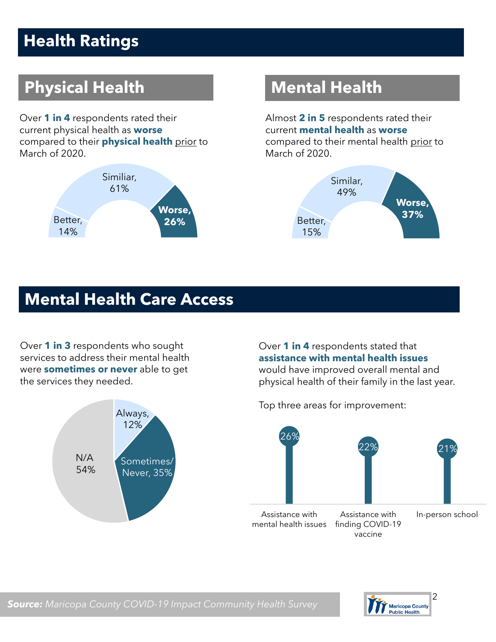## **Health Ratings**

## **Physical Health Mental Health**

Over **1 in 4** respondents rated their current physical health as **worse** compared to their **physical health** prior to March of 2020.



Almost **2 in 5** respondents rated their current **mental health** as **worse** compared to their mental health prior to March of 2020.



#### **Mental Health Care Access**

Over **1 in 3** respondents who sought services to address their mental health were **sometimes or never** able to get the services they needed.



Over **1 in 4** respondents stated that **assistance with mental health issues** would have improved overall mental and physical health of their family in the last year.

Top three areas for improvement:



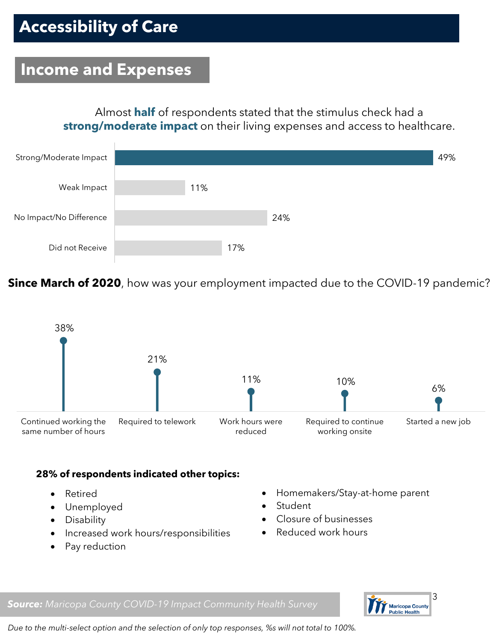#### **Income and Expenses**

Almost **half** of respondents stated that the stimulus check had a **strong/moderate impact** on their living expenses and access to healthcare.



**Since March of 2020**, how was your employment impacted due to the COVID-19 pandemic?



#### **28% of respondents indicated other topics:**

- Retired
- Unemployed
- Disability
- Increased work hours/responsibilities
- Pay reduction
- Homemakers/Stay-at-home parent
- **Student**
- Closure of businesses
- Reduced work hours



*Source: Maricopa County COVID-19 Impact Community Health Survey*

*Due to the multi-select option and the selection of only top responses, %s will not total to 100%.*